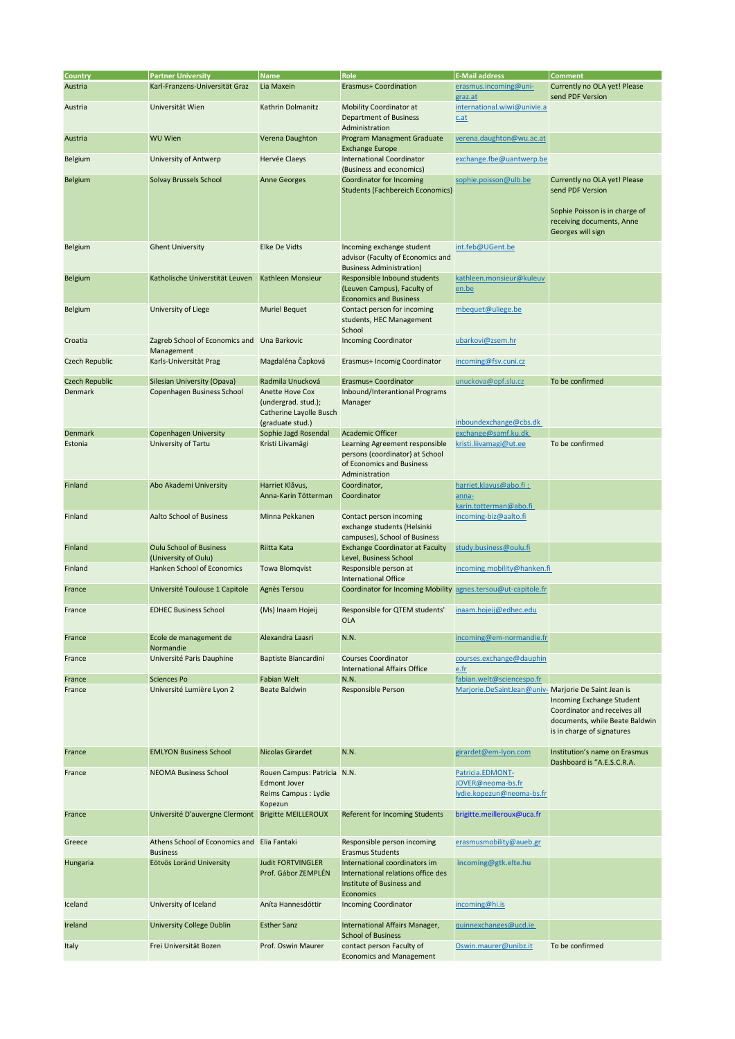| Country               | <b>Partner University</b>                                      | <b>Name</b>                                                                           | Role                                                                                                                 | <b>E-Mail address</b>                                              | <b>Comment</b>                                                                                                                       |
|-----------------------|----------------------------------------------------------------|---------------------------------------------------------------------------------------|----------------------------------------------------------------------------------------------------------------------|--------------------------------------------------------------------|--------------------------------------------------------------------------------------------------------------------------------------|
| Austria               | Karl-Franzens-Universität Graz                                 | Lia Maxein                                                                            | Erasmus+ Coordination                                                                                                | erasmus.incoming@uni-<br>graz.at                                   | Currently no OLA yet! Please<br>send PDF Version                                                                                     |
| Austria               | Universität Wien                                               | Kathrin Dolmanitz                                                                     | Mobility Coordinator at<br>Department of Business<br>Administration                                                  | international.wiwi@univie.a<br>$c$ .at                             |                                                                                                                                      |
| Austria               | <b>WU Wien</b>                                                 | Verena Daughton                                                                       | <b>Program Managment Graduate</b><br><b>Exchange Europe</b>                                                          | verena.daughton@wu.ac.at                                           |                                                                                                                                      |
| Belgium               | University of Antwerp                                          | Hervée Claeys                                                                         | <b>International Coordinator</b><br>(Business and economics)                                                         | exchange.fbe@uantwerp.be                                           |                                                                                                                                      |
| <b>Belgium</b>        | Solvay Brussels School                                         | <b>Anne Georges</b>                                                                   | Coordinator for Incoming<br><b>Students (Fachbereich Economics)</b>                                                  | sophie.poisson@ulb.be                                              | Currently no OLA yet! Please<br>send PDF Version<br>Sophie Poisson is in charge of<br>receiving documents, Anne<br>Georges will sign |
| Belgium               | <b>Ghent University</b>                                        | Elke De Vidts                                                                         | Incoming exchange student<br>advisor (Faculty of Economics and<br><b>Business Administration)</b>                    | int.feb@UGent.be                                                   |                                                                                                                                      |
| <b>Belgium</b>        | Katholische Universtität Leuven                                | Kathleen Monsieur                                                                     | Responsible Inbound students<br>(Leuven Campus), Faculty of<br><b>Economics and Business</b>                         | kathleen.monsieur@kuleuv<br>en.be                                  |                                                                                                                                      |
| Belgium               | University of Liege                                            | <b>Muriel Bequet</b>                                                                  | Contact person for incoming<br>students, HEC Management<br>School                                                    | mbequet@uliege.be                                                  |                                                                                                                                      |
| Croatia               | Zagreb School of Economics and Una Barkovic<br>Management      |                                                                                       | <b>Incoming Coordinator</b>                                                                                          | ubarkovi@zsem.hr                                                   |                                                                                                                                      |
| <b>Czech Republic</b> | Karls-Universität Prag                                         | Magdaléna Čapková                                                                     | Erasmus+ Incomig Coordinator                                                                                         | incoming@fsv.cuni.cz                                               |                                                                                                                                      |
| Czech Republic        | Silesian University (Opava)                                    | Radmila Unucková                                                                      | Erasmus+ Coordinator                                                                                                 | unuckova@opf.slu.cz                                                | To be confirmed                                                                                                                      |
| Denmark               | Copenhagen Business School                                     | Anette Hove Cox<br>(undergrad. stud.);<br>Catherine Layolle Busch<br>(graduate stud.) | Inbound/Interantional Programs<br>Manager                                                                            | inboundexchange@cbs.dk                                             |                                                                                                                                      |
| Denmark               | <b>Copenhagen University</b>                                   | Sophie Jagd Rosendal                                                                  | <b>Academic Officer</b>                                                                                              | exchange@samf.ku.dk                                                |                                                                                                                                      |
| Estonia               | University of Tartu                                            | Kristi Liivamägi                                                                      | Learning Agreement responsible<br>persons (coordinator) at School<br>of Economics and Business<br>Administration     | kristi.liivamagi@ut.ee                                             | To be confirmed                                                                                                                      |
| Finland               | Abo Akademi University                                         | Harriet Klåvus,<br>Anna-Karin Tötterman                                               | Coordinator,<br>Coordinator                                                                                          | harriet.klavus@abo.fi;<br>anna-<br>karin.totterman@abo.fi          |                                                                                                                                      |
| Finland               | Aalto School of Business                                       | Minna Pekkanen                                                                        | Contact person incoming<br>exchange students (Helsinki<br>campuses), School of Business                              | incoming-biz@aalto.fi                                              |                                                                                                                                      |
| Finland               | <b>Oulu School of Business</b><br>(University of Oulu)         | Riitta Kata                                                                           | <b>Exchange Coordinator at Faculty</b><br>Level, Business School                                                     | study.business@oulu.fi                                             |                                                                                                                                      |
| Finland               | Hanken School of Economics                                     | Towa Blomqvist                                                                        | Responsible person at<br><b>International Office</b>                                                                 | incoming.mobility@hanken.fi                                        |                                                                                                                                      |
| France                | Université Toulouse 1 Capitole                                 | Agnès Tersou                                                                          | Coordinator for Incoming Mobility agnes.tersou@ut-capitole.fr                                                        |                                                                    |                                                                                                                                      |
| France                | <b>EDHEC Business School</b>                                   | (Ms) Inaam Hojeij                                                                     | Responsible for QTEM students'<br>OLA                                                                                | inaam.hojeij@edhec.edu                                             |                                                                                                                                      |
| France                | Ecole de management de<br>Normandie                            | Alexandra Laasri                                                                      | N.N.                                                                                                                 | incoming@em-normandie.fr                                           |                                                                                                                                      |
| France                | Université Paris Dauphine                                      | Baptiste Biancardini                                                                  | <b>Courses Coordinator</b><br><b>International Affairs Office</b>                                                    | courses.exchange@dauphin<br>e.fr                                   |                                                                                                                                      |
| France                | <b>Sciences Po</b>                                             | Fabian Welt                                                                           | N.N.                                                                                                                 | fabian.welt@sciencespo.fr                                          |                                                                                                                                      |
| France                | Université Lumière Lyon 2                                      | Beate Baldwin                                                                         | Responsible Person                                                                                                   | Marjorie.DeSaintJean@univ- Marjorie De Saint Jean is               | Incoming Exchange Student<br>Coordinator and receives all<br>documents, while Beate Baldwin<br>is in charge of signatures            |
| France                | <b>EMLYON Business School</b>                                  | Nicolas Girardet                                                                      | N.N.                                                                                                                 | girardet@em-lyon.com                                               | Institution's name on Erasmus<br>Dashboard is "A.E.S.C.R.A.                                                                          |
| France                | <b>NEOMA Business School</b>                                   | Rouen Campus: Patricia N.N.<br>Edmont Jover<br>Reims Campus : Lydie<br>Kopezun        |                                                                                                                      | Patricia.EDMONT-<br>JOVER@neoma-bs.fr<br>lydie.kopezun@neoma-bs.fr |                                                                                                                                      |
| France                | Université D'auvergne Clermont                                 | <b>Brigitte MEILLEROUX</b>                                                            | Referent for Incoming Students                                                                                       | brigitte.meilleroux@uca.fr                                         |                                                                                                                                      |
| Greece                | Athens School of Economics and Elia Fantaki<br><b>Business</b> |                                                                                       | Responsible person incoming<br><b>Erasmus Students</b>                                                               | erasmusmobility@aueb.gr                                            |                                                                                                                                      |
| Hungaria              | Eötvös Loránd University                                       | <b>Judit FORTVINGLER</b><br>Prof. Gábor ZEMPLÉN                                       | International coordinators im<br>International relations office des<br>Institute of Business and<br><b>Economics</b> | incoming@gtk.elte.hu                                               |                                                                                                                                      |
| Iceland               | University of Iceland                                          | Aníta Hannesdóttir                                                                    | <b>Incoming Coordinator</b>                                                                                          | incoming@hi.is                                                     |                                                                                                                                      |
| Ireland               | <b>University College Dublin</b>                               | <b>Esther Sanz</b>                                                                    | International Affairs Manager,<br><b>School of Business</b>                                                          | guinnexchanges@ucd.ie                                              |                                                                                                                                      |
| Italy                 | Frei Universität Bozen                                         | Prof. Oswin Maurer                                                                    | contact person Faculty of<br><b>Economics and Management</b>                                                         | Oswin.maurer@unibz.it                                              | To be confirmed                                                                                                                      |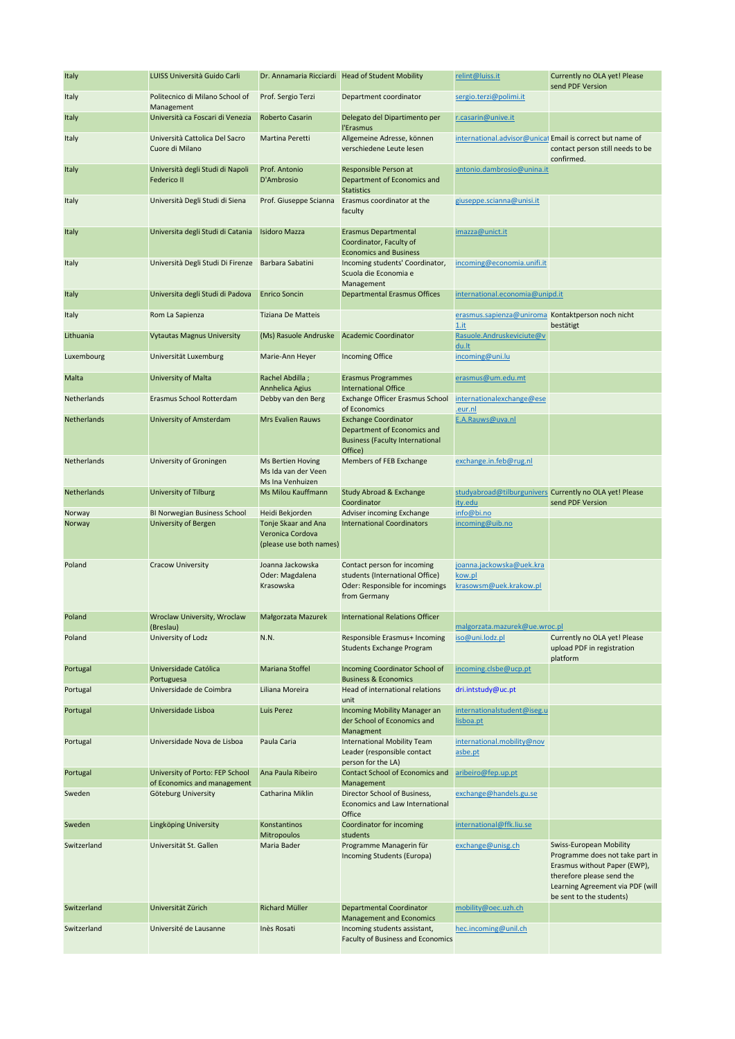| Italy       | LUISS Università Guido Carli                                   |                                                                     | Dr. Annamaria Ricciardi Head of Student Mobility                                                                  | relint@luiss.it                                              | Currently no OLA yet! Please<br>send PDF Version                                                                                                                                        |
|-------------|----------------------------------------------------------------|---------------------------------------------------------------------|-------------------------------------------------------------------------------------------------------------------|--------------------------------------------------------------|-----------------------------------------------------------------------------------------------------------------------------------------------------------------------------------------|
| Italy       | Politecnico di Milano School of<br>Management                  | Prof. Sergio Terzi                                                  | Department coordinator                                                                                            | sergio.terzi@polimi.it                                       |                                                                                                                                                                                         |
| Italy       | Università ca Foscari di Venezia                               | Roberto Casarin                                                     | Delegato del Dipartimento per<br>l'Erasmus                                                                        | r.casarin@unive.it                                           |                                                                                                                                                                                         |
| Italy       | Università Cattolica Del Sacro<br>Cuore di Milano              | Martina Peretti                                                     | Allgemeine Adresse, können<br>verschiedene Leute lesen                                                            | international.advisor@unicat Email is correct but name of    | contact person still needs to be<br>confirmed.                                                                                                                                          |
| Italy       | Università degli Studi di Napoli<br>Federico II                | Prof. Antonio<br>D'Ambrosio                                         | Responsible Person at<br>Department of Economics and<br><b>Statistics</b>                                         | antonio.dambrosio@unina.it                                   |                                                                                                                                                                                         |
| Italy       | Università Degli Studi di Siena                                | Prof. Giuseppe Scianna                                              | Erasmus coordinator at the<br>faculty                                                                             | giuseppe.scianna@unisi.it                                    |                                                                                                                                                                                         |
| Italy       | Universita degli Studi di Catania                              | <b>Isidoro Mazza</b>                                                | <b>Erasmus Departmental</b><br>Coordinator, Faculty of<br><b>Economics and Business</b>                           | imazza@unict.it                                              |                                                                                                                                                                                         |
| Italy       | Università Degli Studi Di Firenze                              | Barbara Sabatini                                                    | Incoming students' Coordinator,<br>Scuola die Economia e<br>Management                                            | incoming@economia.unifi.it                                   |                                                                                                                                                                                         |
| Italy       | Universita degli Studi di Padova                               | <b>Enrico Soncin</b>                                                | <b>Departmental Erasmus Offices</b>                                                                               | international.economia@unipd.it                              |                                                                                                                                                                                         |
| Italy       | Rom La Sapienza                                                | <b>Tiziana De Matteis</b>                                           |                                                                                                                   | erasmus.sapienza@uniroma Kontaktperson noch nicht<br>$1.$ it | bestätigt                                                                                                                                                                               |
| Lithuania   | <b>Vytautas Magnus University</b>                              | (Ms) Rasuole Andruske                                               | <b>Academic Coordinator</b>                                                                                       | Rasuole.Andruskeviciute@v<br>du.lt                           |                                                                                                                                                                                         |
| Luxembourg  | Universität Luxemburg                                          | Marie-Ann Heyer                                                     | <b>Incoming Office</b>                                                                                            | incoming@uni.lu                                              |                                                                                                                                                                                         |
| Malta       | University of Malta                                            | Rachel Abdilla;<br>Annhelica Agius                                  | <b>Erasmus Programmes</b><br><b>International Office</b>                                                          | erasmus@um.edu.mt                                            |                                                                                                                                                                                         |
| Netherlands | Erasmus School Rotterdam                                       | Debby van den Berg                                                  | Exchange Officer Erasmus School<br>of Economics                                                                   | internationalexchange@ese<br>.eur.nl                         |                                                                                                                                                                                         |
| Netherlands | University of Amsterdam                                        | <b>Mrs Evalien Rauws</b>                                            | <b>Exchange Coordinator</b><br>Department of Economics and<br><b>Business (Faculty International</b><br>Office)   | E.A.Rauws@uva.nl                                             |                                                                                                                                                                                         |
| Netherlands | University of Groningen                                        | <b>Ms Bertien Hoving</b><br>Ms Ida van der Veen<br>Ms Ina Venhuizen | Members of FEB Exchange                                                                                           | exchange.in.feb@rug.nl                                       |                                                                                                                                                                                         |
| Netherlands | University of Tilburg                                          | Ms Milou Kauffmann                                                  | Study Abroad & Exchange<br>Coordinator                                                                            | ity.edu                                                      | studyabroad@tilburgunivers Currently no OLA yet! Please<br>send PDF Version                                                                                                             |
| Norway      | BI Norwegian Business School                                   | Heidi Bekjorden                                                     | Adviser incoming Exchange                                                                                         | info@bi.no                                                   |                                                                                                                                                                                         |
| Norway      | University of Bergen                                           | Tonje Skaar and Ana<br>Veronica Cordova<br>(please use both names)  | <b>International Coordinators</b>                                                                                 | incoming@uib.no                                              |                                                                                                                                                                                         |
| Poland      | <b>Cracow University</b>                                       | Joanna Jackowska<br>Oder: Magdalena<br>Krasowska                    | Contact person for incoming<br>students (International Office)<br>Oder: Responsible for incomings<br>from Germany | joanna.jackowska@uek.kra<br>kow.pl<br>krasowsm@uek.krakow.pl |                                                                                                                                                                                         |
| Poland      | Wroclaw University, Wroclaw<br>(Breslau)                       | Małgorzata Mazurek                                                  | <b>International Relations Officer</b>                                                                            | malgorzata.mazurek@ue.wroc.pl                                |                                                                                                                                                                                         |
| Poland      | University of Lodz                                             | N.N.                                                                | Responsible Erasmus+ Incoming<br><b>Students Exchange Program</b>                                                 | iso@uni.lodz.pl                                              | Currently no OLA yet! Please<br>upload PDF in registration<br>platform                                                                                                                  |
| Portugal    | Universidade Católica<br>Portuguesa                            | Mariana Stoffel                                                     | Incoming Coordinator School of<br><b>Business &amp; Economics</b>                                                 | incoming.clsbe@ucp.pt                                        |                                                                                                                                                                                         |
| Portugal    | Universidade de Coimbra                                        | Liliana Moreira                                                     | Head of international relations<br>unit                                                                           | dri.intstudy@uc.pt                                           |                                                                                                                                                                                         |
| Portugal    | Universidade Lisboa                                            | Luis Perez                                                          | Incoming Mobility Manager an<br>der School of Economics and<br>Managment                                          | internationalstudent@iseg.u<br>lisboa.pt                     |                                                                                                                                                                                         |
| Portugal    | Universidade Nova de Lisboa                                    | Paula Caria                                                         | International Mobility Team<br>Leader (responsible contact<br>person for the LA)                                  | international.mobility@nov<br>asbe.pt                        |                                                                                                                                                                                         |
| Portugal    | University of Porto: FEP School<br>of Economics and management | Ana Paula Ribeiro                                                   | Contact School of Economics and<br>Management                                                                     | aribeiro@fep.up.pt                                           |                                                                                                                                                                                         |
| Sweden      | Göteburg University                                            | Catharina Miklin                                                    | Director School of Business,<br>Economics and Law International<br>Office                                         | exchange@handels.gu.se                                       |                                                                                                                                                                                         |
| Sweden      | Lingköping University                                          | Konstantinos<br><b>Mitropoulos</b>                                  | Coordinator for incoming<br>students                                                                              | international@ffk.liu.se                                     |                                                                                                                                                                                         |
| Switzerland | Universität St. Gallen                                         | Maria Bader                                                         | Programme Managerin für<br>Incoming Students (Europa)                                                             | exchange@unisg.ch                                            | Swiss-European Mobility<br>Programme does not take part in<br>Erasmus without Paper (EWP),<br>therefore please send the<br>Learning Agreement via PDF (will<br>be sent to the students) |
| Switzerland | Universität Zürich                                             | <b>Richard Müller</b>                                               | Departmental Coordinator<br><b>Management and Economics</b>                                                       | mobility@oec.uzh.ch                                          |                                                                                                                                                                                         |
| Switzerland | Université de Lausanne                                         | Inès Rosati                                                         | Incoming students assistant,<br>Faculty of Business and Economics                                                 | hec.incoming@unil.ch                                         |                                                                                                                                                                                         |